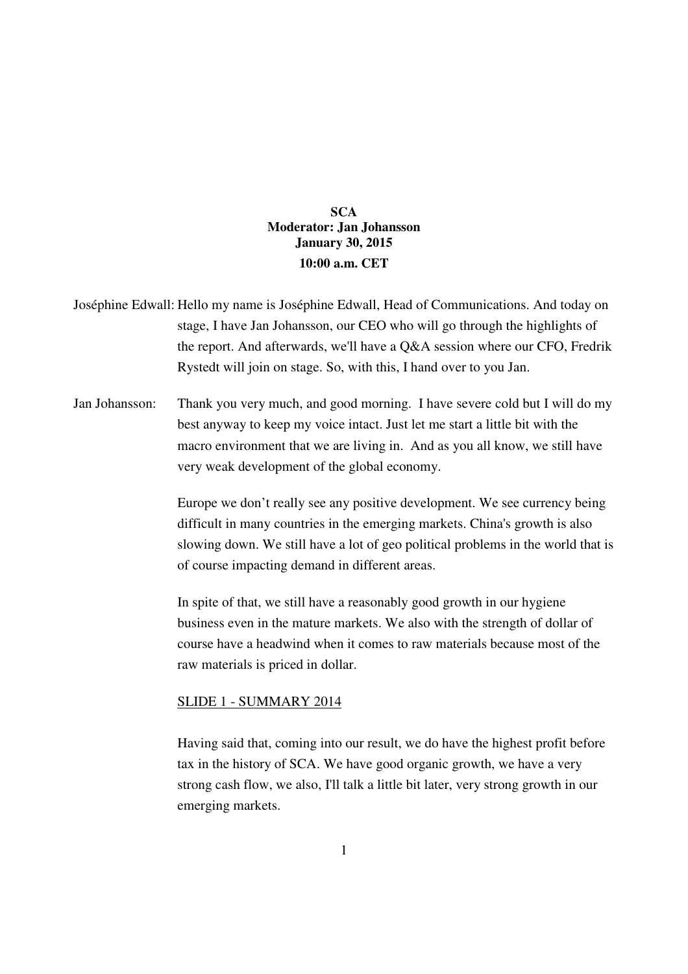# **SCA Moderator: Jan Johansson January 30, 2015 10:00 a.m. CET**

- Joséphine Edwall: Hello my name is Joséphine Edwall, Head of Communications. And today on stage, I have Jan Johansson, our CEO who will go through the highlights of the report. And afterwards, we'll have a Q&A session where our CFO, Fredrik Rystedt will join on stage. So, with this, I hand over to you Jan.
- Jan Johansson: Thank you very much, and good morning. I have severe cold but I will do my best anyway to keep my voice intact. Just let me start a little bit with the macro environment that we are living in. And as you all know, we still have very weak development of the global economy.

 Europe we don't really see any positive development. We see currency being difficult in many countries in the emerging markets. China's growth is also slowing down. We still have a lot of geo political problems in the world that is of course impacting demand in different areas.

 In spite of that, we still have a reasonably good growth in our hygiene business even in the mature markets. We also with the strength of dollar of course have a headwind when it comes to raw materials because most of the raw materials is priced in dollar.

## SLIDE 1 - SUMMARY 2014

Having said that, coming into our result, we do have the highest profit before tax in the history of SCA. We have good organic growth, we have a very strong cash flow, we also, I'll talk a little bit later, very strong growth in our emerging markets.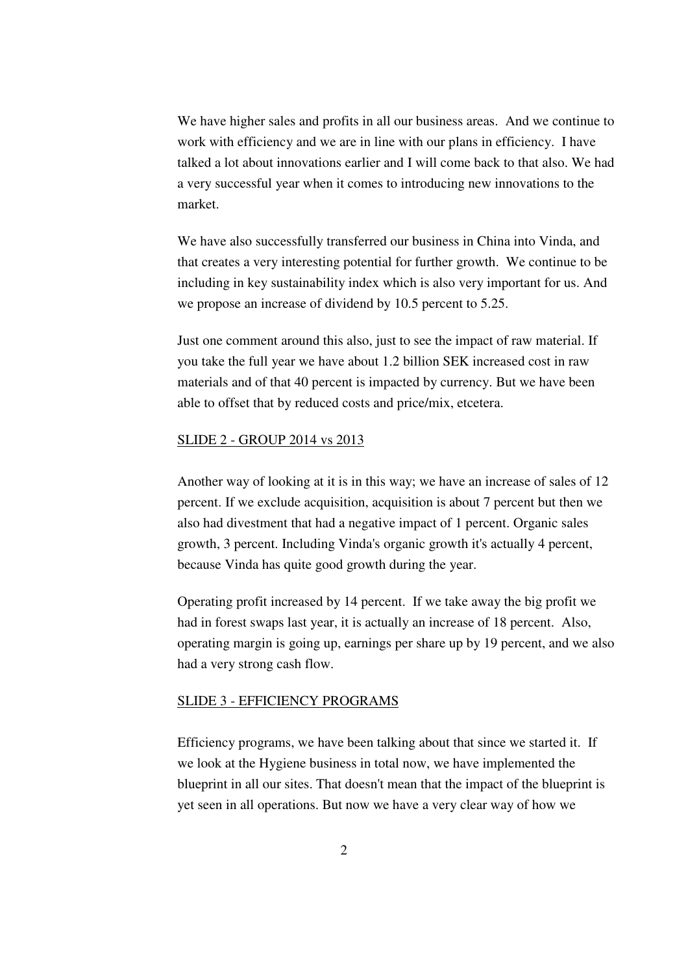We have higher sales and profits in all our business areas. And we continue to work with efficiency and we are in line with our plans in efficiency. I have talked a lot about innovations earlier and I will come back to that also. We had a very successful year when it comes to introducing new innovations to the market.

 We have also successfully transferred our business in China into Vinda, and that creates a very interesting potential for further growth. We continue to be including in key sustainability index which is also very important for us. And we propose an increase of dividend by 10.5 percent to 5.25.

 Just one comment around this also, just to see the impact of raw material. If you take the full year we have about 1.2 billion SEK increased cost in raw materials and of that 40 percent is impacted by currency. But we have been able to offset that by reduced costs and price/mix, etcetera.

### SLIDE 2 - GROUP 2014 vs 2013

Another way of looking at it is in this way; we have an increase of sales of 12 percent. If we exclude acquisition, acquisition is about 7 percent but then we also had divestment that had a negative impact of 1 percent. Organic sales growth, 3 percent. Including Vinda's organic growth it's actually 4 percent, because Vinda has quite good growth during the year.

 Operating profit increased by 14 percent. If we take away the big profit we had in forest swaps last year, it is actually an increase of 18 percent. Also, operating margin is going up, earnings per share up by 19 percent, and we also had a very strong cash flow.

### SLIDE 3 - EFFICIENCY PROGRAMS

Efficiency programs, we have been talking about that since we started it. If we look at the Hygiene business in total now, we have implemented the blueprint in all our sites. That doesn't mean that the impact of the blueprint is yet seen in all operations. But now we have a very clear way of how we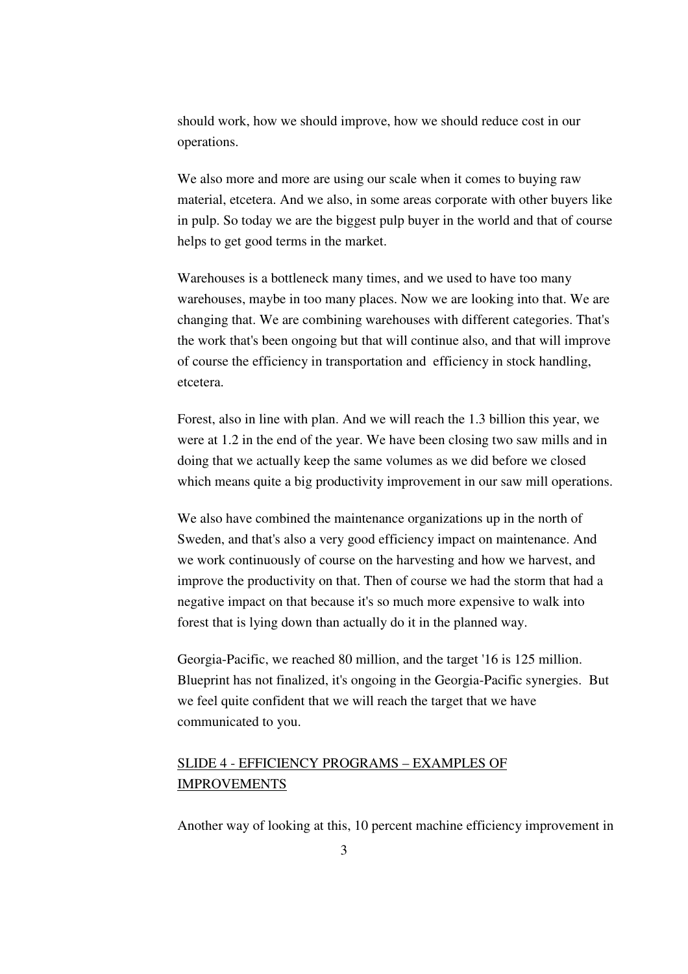should work, how we should improve, how we should reduce cost in our operations.

 We also more and more are using our scale when it comes to buying raw material, etcetera. And we also, in some areas corporate with other buyers like in pulp. So today we are the biggest pulp buyer in the world and that of course helps to get good terms in the market.

 Warehouses is a bottleneck many times, and we used to have too many warehouses, maybe in too many places. Now we are looking into that. We are changing that. We are combining warehouses with different categories. That's the work that's been ongoing but that will continue also, and that will improve of course the efficiency in transportation and efficiency in stock handling, etcetera.

 Forest, also in line with plan. And we will reach the 1.3 billion this year, we were at 1.2 in the end of the year. We have been closing two saw mills and in doing that we actually keep the same volumes as we did before we closed which means quite a big productivity improvement in our saw mill operations.

 We also have combined the maintenance organizations up in the north of Sweden, and that's also a very good efficiency impact on maintenance. And we work continuously of course on the harvesting and how we harvest, and improve the productivity on that. Then of course we had the storm that had a negative impact on that because it's so much more expensive to walk into forest that is lying down than actually do it in the planned way.

 Georgia-Pacific, we reached 80 million, and the target '16 is 125 million. Blueprint has not finalized, it's ongoing in the Georgia-Pacific synergies. But we feel quite confident that we will reach the target that we have communicated to you.

# SLIDE 4 - EFFICIENCY PROGRAMS – EXAMPLES OF IMPROVEMENTS

Another way of looking at this, 10 percent machine efficiency improvement in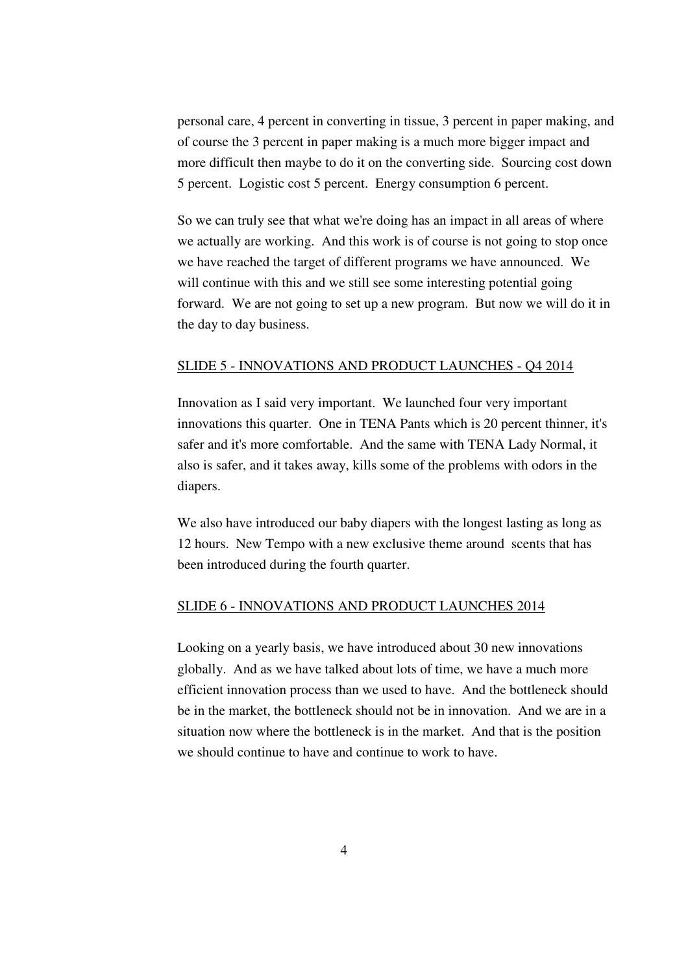personal care, 4 percent in converting in tissue, 3 percent in paper making, and of course the 3 percent in paper making is a much more bigger impact and more difficult then maybe to do it on the converting side. Sourcing cost down 5 percent. Logistic cost 5 percent. Energy consumption 6 percent.

 So we can truly see that what we're doing has an impact in all areas of where we actually are working. And this work is of course is not going to stop once we have reached the target of different programs we have announced. We will continue with this and we still see some interesting potential going forward. We are not going to set up a new program. But now we will do it in the day to day business.

### SLIDE 5 - INNOVATIONS AND PRODUCT LAUNCHES - Q4 2014

 Innovation as I said very important. We launched four very important innovations this quarter. One in TENA Pants which is 20 percent thinner, it's safer and it's more comfortable. And the same with TENA Lady Normal, it also is safer, and it takes away, kills some of the problems with odors in the diapers.

 We also have introduced our baby diapers with the longest lasting as long as 12 hours. New Tempo with a new exclusive theme around scents that has been introduced during the fourth quarter.

## SLIDE 6 - INNOVATIONS AND PRODUCT LAUNCHES 2014

Looking on a yearly basis, we have introduced about 30 new innovations globally. And as we have talked about lots of time, we have a much more efficient innovation process than we used to have. And the bottleneck should be in the market, the bottleneck should not be in innovation. And we are in a situation now where the bottleneck is in the market. And that is the position we should continue to have and continue to work to have.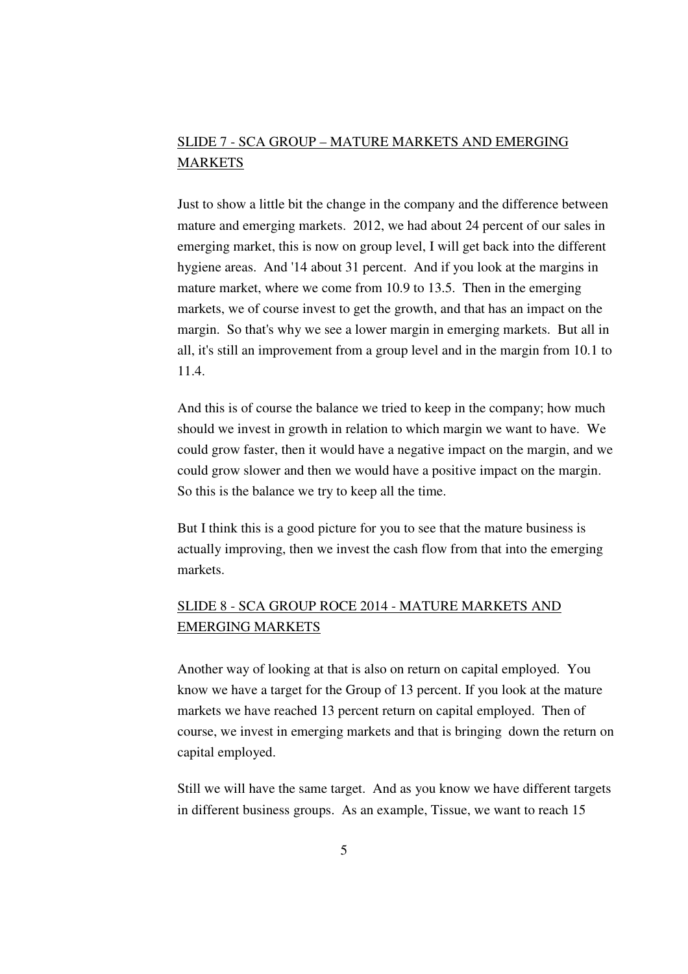# SLIDE 7 - SCA GROUP – MATURE MARKETS AND EMERGING **MARKETS**

Just to show a little bit the change in the company and the difference between mature and emerging markets. 2012, we had about 24 percent of our sales in emerging market, this is now on group level, I will get back into the different hygiene areas. And '14 about 31 percent. And if you look at the margins in mature market, where we come from 10.9 to 13.5. Then in the emerging markets, we of course invest to get the growth, and that has an impact on the margin. So that's why we see a lower margin in emerging markets. But all in all, it's still an improvement from a group level and in the margin from 10.1 to 11.4.

 And this is of course the balance we tried to keep in the company; how much should we invest in growth in relation to which margin we want to have. We could grow faster, then it would have a negative impact on the margin, and we could grow slower and then we would have a positive impact on the margin. So this is the balance we try to keep all the time.

 But I think this is a good picture for you to see that the mature business is actually improving, then we invest the cash flow from that into the emerging markets.

# SLIDE 8 - SCA GROUP ROCE 2014 - MATURE MARKETS AND EMERGING MARKETS

Another way of looking at that is also on return on capital employed. You know we have a target for the Group of 13 percent. If you look at the mature markets we have reached 13 percent return on capital employed. Then of course, we invest in emerging markets and that is bringing down the return on capital employed.

 Still we will have the same target. And as you know we have different targets in different business groups. As an example, Tissue, we want to reach 15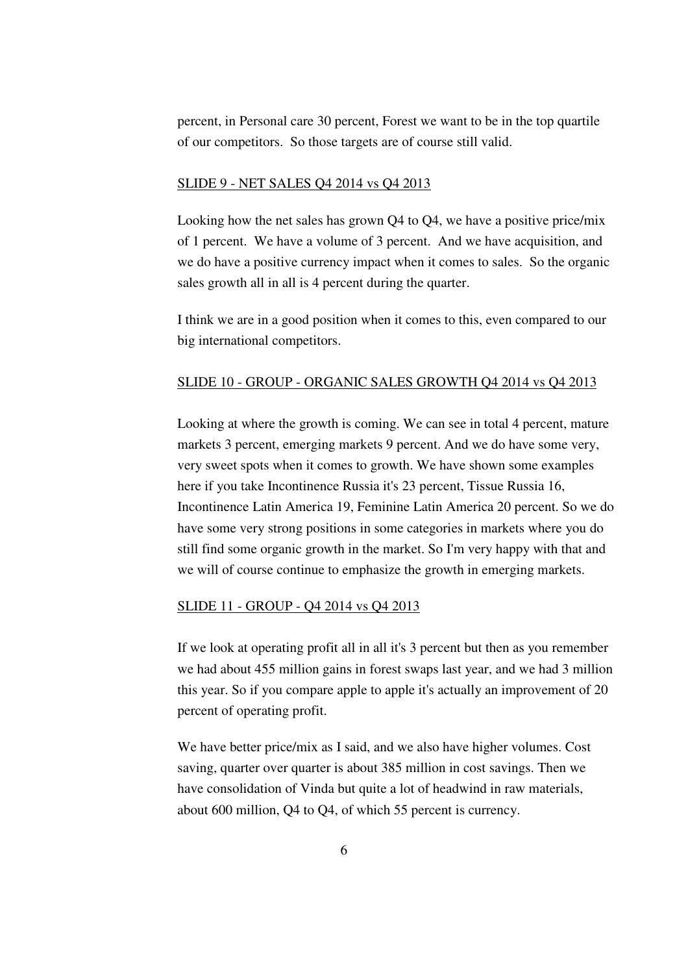percent, in Personal care 30 percent, Forest we want to be in the top quartile of our competitors. So those targets are of course still valid.

# SLIDE 9 - NET SALES Q4 2014 vs Q4 2013

 Looking how the net sales has grown Q4 to Q4, we have a positive price/mix of 1 percent. We have a volume of 3 percent. And we have acquisition, and we do have a positive currency impact when it comes to sales. So the organic sales growth all in all is 4 percent during the quarter.

 I think we are in a good position when it comes to this, even compared to our big international competitors.

### SLIDE 10 - GROUP - ORGANIC SALES GROWTH Q4 2014 vs Q4 2013

Looking at where the growth is coming. We can see in total 4 percent, mature markets 3 percent, emerging markets 9 percent. And we do have some very, very sweet spots when it comes to growth. We have shown some examples here if you take Incontinence Russia it's 23 percent, Tissue Russia 16, Incontinence Latin America 19, Feminine Latin America 20 percent. So we do have some very strong positions in some categories in markets where you do still find some organic growth in the market. So I'm very happy with that and we will of course continue to emphasize the growth in emerging markets.

#### SLIDE 11 - GROUP - Q4 2014 vs Q4 2013

If we look at operating profit all in all it's 3 percent but then as you remember we had about 455 million gains in forest swaps last year, and we had 3 million this year. So if you compare apple to apple it's actually an improvement of 20 percent of operating profit.

 We have better price/mix as I said, and we also have higher volumes. Cost saving, quarter over quarter is about 385 million in cost savings. Then we have consolidation of Vinda but quite a lot of headwind in raw materials, about 600 million, Q4 to Q4, of which 55 percent is currency.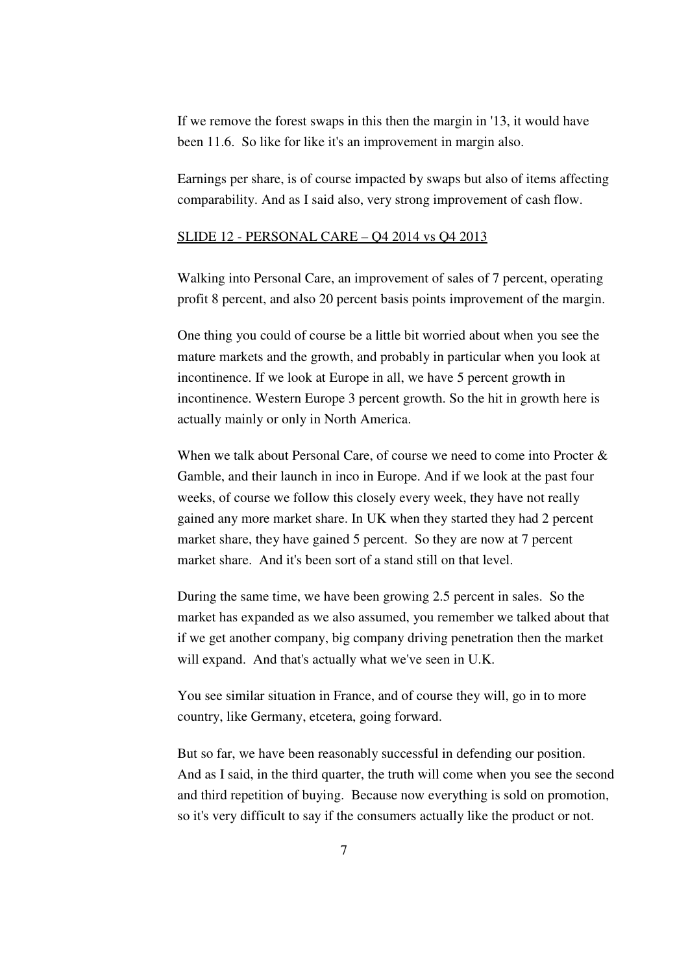If we remove the forest swaps in this then the margin in '13, it would have been 11.6. So like for like it's an improvement in margin also.

 Earnings per share, is of course impacted by swaps but also of items affecting comparability. And as I said also, very strong improvement of cash flow.

## SLIDE 12 - PERSONAL CARE – Q4 2014 vs Q4 2013

Walking into Personal Care, an improvement of sales of 7 percent, operating profit 8 percent, and also 20 percent basis points improvement of the margin.

 One thing you could of course be a little bit worried about when you see the mature markets and the growth, and probably in particular when you look at incontinence. If we look at Europe in all, we have 5 percent growth in incontinence. Western Europe 3 percent growth. So the hit in growth here is actually mainly or only in North America.

When we talk about Personal Care, of course we need to come into Procter & Gamble, and their launch in inco in Europe. And if we look at the past four weeks, of course we follow this closely every week, they have not really gained any more market share. In UK when they started they had 2 percent market share, they have gained 5 percent. So they are now at 7 percent market share. And it's been sort of a stand still on that level.

 During the same time, we have been growing 2.5 percent in sales. So the market has expanded as we also assumed, you remember we talked about that if we get another company, big company driving penetration then the market will expand. And that's actually what we've seen in U.K.

 You see similar situation in France, and of course they will, go in to more country, like Germany, etcetera, going forward.

 But so far, we have been reasonably successful in defending our position. And as I said, in the third quarter, the truth will come when you see the second and third repetition of buying. Because now everything is sold on promotion, so it's very difficult to say if the consumers actually like the product or not.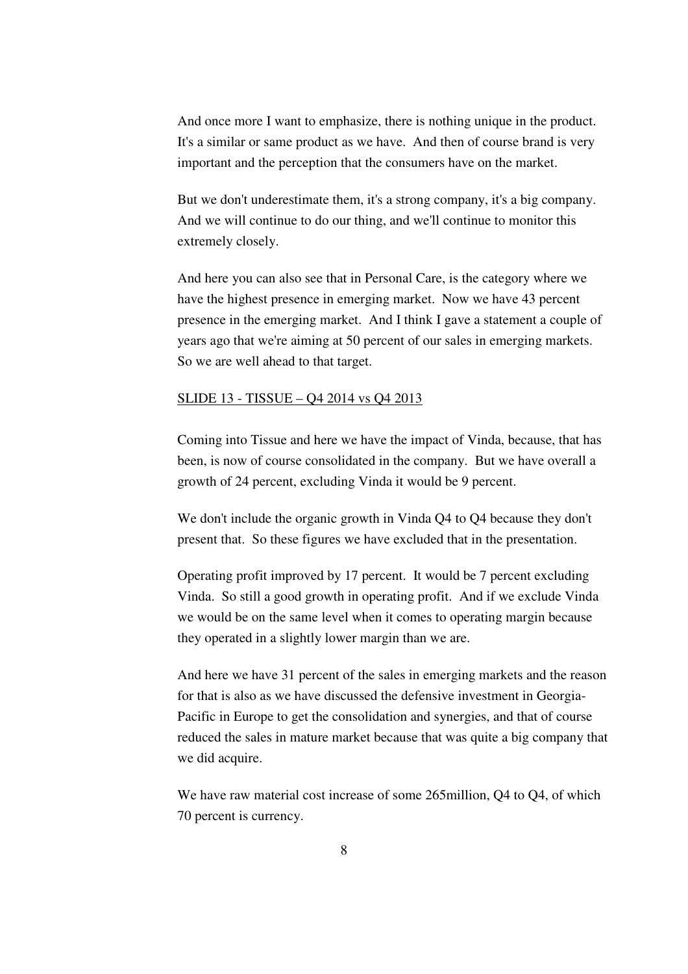And once more I want to emphasize, there is nothing unique in the product. It's a similar or same product as we have. And then of course brand is very important and the perception that the consumers have on the market.

 But we don't underestimate them, it's a strong company, it's a big company. And we will continue to do our thing, and we'll continue to monitor this extremely closely.

 And here you can also see that in Personal Care, is the category where we have the highest presence in emerging market. Now we have 43 percent presence in the emerging market. And I think I gave a statement a couple of years ago that we're aiming at 50 percent of our sales in emerging markets. So we are well ahead to that target.

### SLIDE 13 - TISSUE – Q4 2014 vs Q4 2013

Coming into Tissue and here we have the impact of Vinda, because, that has been, is now of course consolidated in the company. But we have overall a growth of 24 percent, excluding Vinda it would be 9 percent.

 We don't include the organic growth in Vinda Q4 to Q4 because they don't present that. So these figures we have excluded that in the presentation.

 Operating profit improved by 17 percent. It would be 7 percent excluding Vinda. So still a good growth in operating profit. And if we exclude Vinda we would be on the same level when it comes to operating margin because they operated in a slightly lower margin than we are.

 And here we have 31 percent of the sales in emerging markets and the reason for that is also as we have discussed the defensive investment in Georgia-Pacific in Europe to get the consolidation and synergies, and that of course reduced the sales in mature market because that was quite a big company that we did acquire.

We have raw material cost increase of some 265million, O<sub>4</sub> to O<sub>4</sub>, of which 70 percent is currency.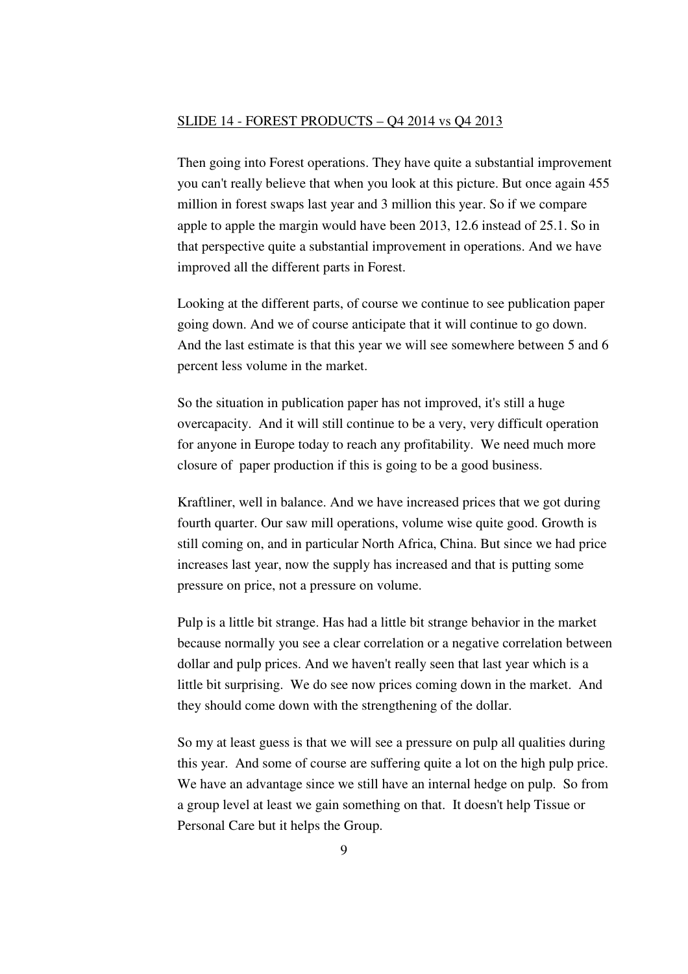### SLIDE 14 - FOREST PRODUCTS – Q4 2014 vs Q4 2013

Then going into Forest operations. They have quite a substantial improvement you can't really believe that when you look at this picture. But once again 455 million in forest swaps last year and 3 million this year. So if we compare apple to apple the margin would have been 2013, 12.6 instead of 25.1. So in that perspective quite a substantial improvement in operations. And we have improved all the different parts in Forest.

 Looking at the different parts, of course we continue to see publication paper going down. And we of course anticipate that it will continue to go down. And the last estimate is that this year we will see somewhere between 5 and 6 percent less volume in the market.

 So the situation in publication paper has not improved, it's still a huge overcapacity. And it will still continue to be a very, very difficult operation for anyone in Europe today to reach any profitability. We need much more closure of paper production if this is going to be a good business.

 Kraftliner, well in balance. And we have increased prices that we got during fourth quarter. Our saw mill operations, volume wise quite good. Growth is still coming on, and in particular North Africa, China. But since we had price increases last year, now the supply has increased and that is putting some pressure on price, not a pressure on volume.

 Pulp is a little bit strange. Has had a little bit strange behavior in the market because normally you see a clear correlation or a negative correlation between dollar and pulp prices. And we haven't really seen that last year which is a little bit surprising. We do see now prices coming down in the market. And they should come down with the strengthening of the dollar.

 So my at least guess is that we will see a pressure on pulp all qualities during this year. And some of course are suffering quite a lot on the high pulp price. We have an advantage since we still have an internal hedge on pulp. So from a group level at least we gain something on that. It doesn't help Tissue or Personal Care but it helps the Group.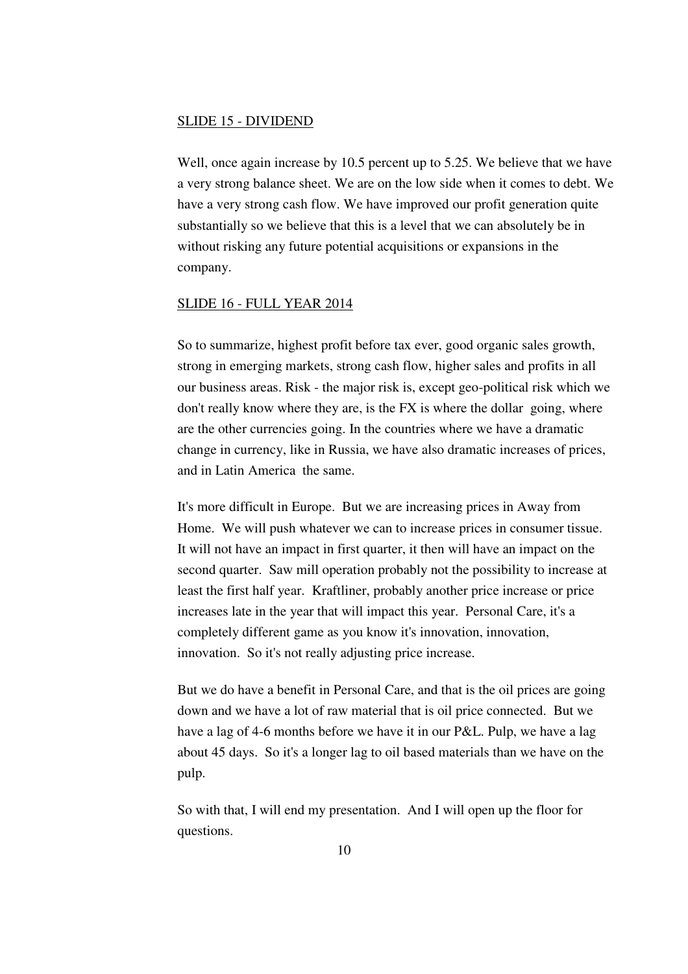### SLIDE 15 - DIVIDEND

Well, once again increase by 10.5 percent up to 5.25. We believe that we have a very strong balance sheet. We are on the low side when it comes to debt. We have a very strong cash flow. We have improved our profit generation quite substantially so we believe that this is a level that we can absolutely be in without risking any future potential acquisitions or expansions in the company.

## SLIDE 16 - FULL YEAR 2014

So to summarize, highest profit before tax ever, good organic sales growth, strong in emerging markets, strong cash flow, higher sales and profits in all our business areas. Risk - the major risk is, except geo-political risk which we don't really know where they are, is the FX is where the dollar going, where are the other currencies going. In the countries where we have a dramatic change in currency, like in Russia, we have also dramatic increases of prices, and in Latin America the same.

 It's more difficult in Europe. But we are increasing prices in Away from Home. We will push whatever we can to increase prices in consumer tissue. It will not have an impact in first quarter, it then will have an impact on the second quarter. Saw mill operation probably not the possibility to increase at least the first half year. Kraftliner, probably another price increase or price increases late in the year that will impact this year. Personal Care, it's a completely different game as you know it's innovation, innovation, innovation. So it's not really adjusting price increase.

 But we do have a benefit in Personal Care, and that is the oil prices are going down and we have a lot of raw material that is oil price connected. But we have a lag of 4-6 months before we have it in our P&L. Pulp, we have a lag about 45 days. So it's a longer lag to oil based materials than we have on the pulp.

 So with that, I will end my presentation. And I will open up the floor for questions.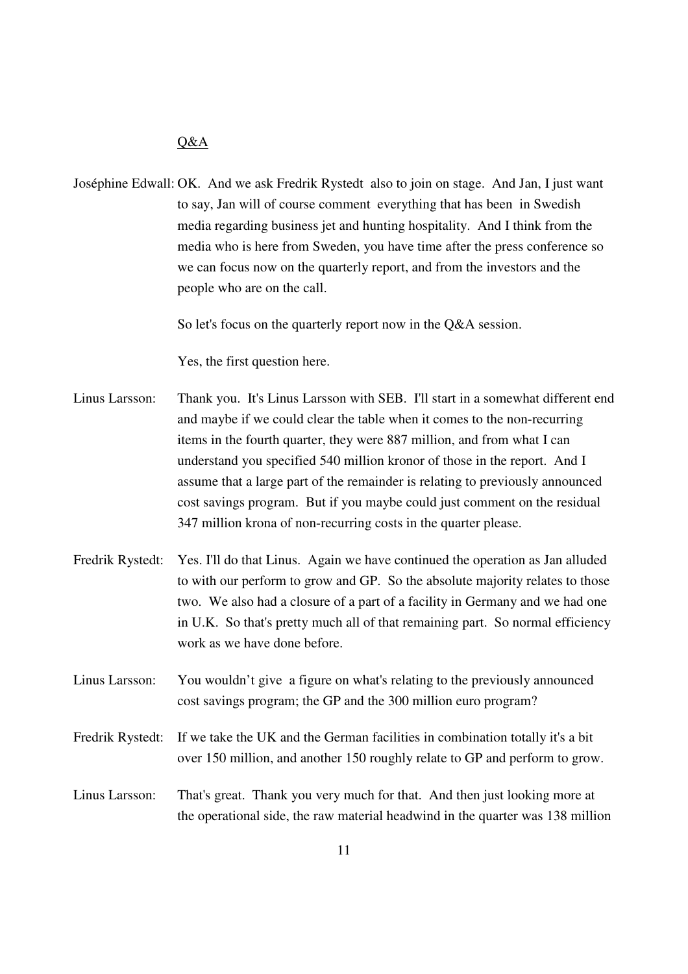### $O&A$

Joséphine Edwall: OK. And we ask Fredrik Rystedt also to join on stage. And Jan, I just want to say, Jan will of course comment everything that has been in Swedish media regarding business jet and hunting hospitality. And I think from the media who is here from Sweden, you have time after the press conference so we can focus now on the quarterly report, and from the investors and the people who are on the call.

So let's focus on the quarterly report now in the Q&A session.

Yes, the first question here.

- Linus Larsson: Thank you. It's Linus Larsson with SEB. I'll start in a somewhat different end and maybe if we could clear the table when it comes to the non-recurring items in the fourth quarter, they were 887 million, and from what I can understand you specified 540 million kronor of those in the report. And I assume that a large part of the remainder is relating to previously announced cost savings program. But if you maybe could just comment on the residual 347 million krona of non-recurring costs in the quarter please.
- Fredrik Rystedt: Yes. I'll do that Linus. Again we have continued the operation as Jan alluded to with our perform to grow and GP. So the absolute majority relates to those two. We also had a closure of a part of a facility in Germany and we had one in U.K. So that's pretty much all of that remaining part. So normal efficiency work as we have done before.
- Linus Larsson: You wouldn't give a figure on what's relating to the previously announced cost savings program; the GP and the 300 million euro program?
- Fredrik Rystedt: If we take the UK and the German facilities in combination totally it's a bit over 150 million, and another 150 roughly relate to GP and perform to grow.
- Linus Larsson: That's great. Thank you very much for that. And then just looking more at the operational side, the raw material headwind in the quarter was 138 million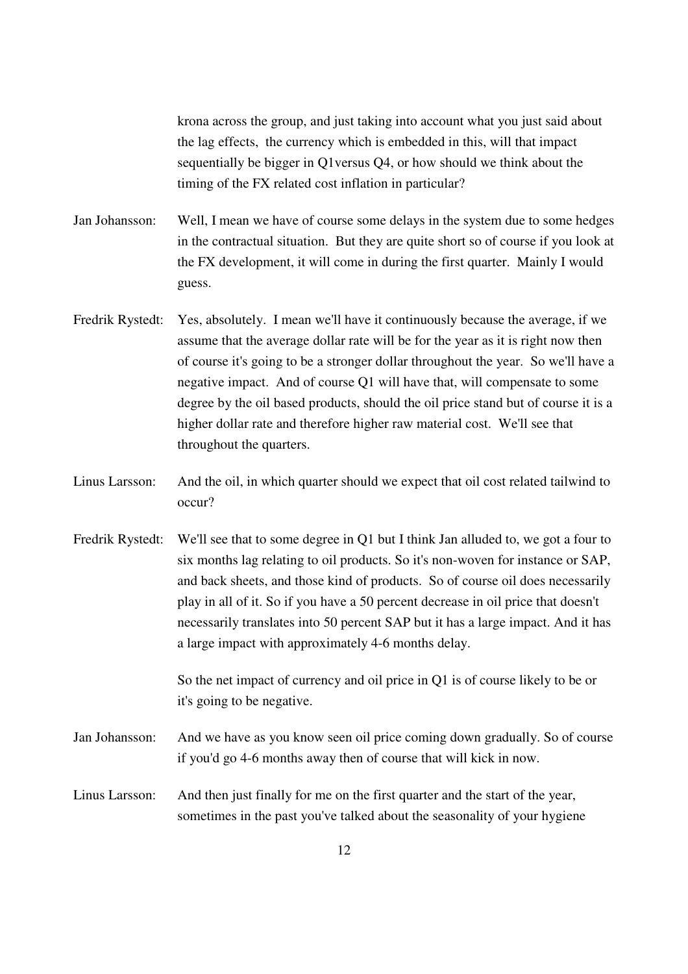krona across the group, and just taking into account what you just said about the lag effects, the currency which is embedded in this, will that impact sequentially be bigger in Q1versus Q4, or how should we think about the timing of the FX related cost inflation in particular?

Jan Johansson: Well, I mean we have of course some delays in the system due to some hedges in the contractual situation. But they are quite short so of course if you look at the FX development, it will come in during the first quarter. Mainly I would guess.

- Fredrik Rystedt: Yes, absolutely. I mean we'll have it continuously because the average, if we assume that the average dollar rate will be for the year as it is right now then of course it's going to be a stronger dollar throughout the year. So we'll have a negative impact. And of course Q1 will have that, will compensate to some degree by the oil based products, should the oil price stand but of course it is a higher dollar rate and therefore higher raw material cost. We'll see that throughout the quarters.
- Linus Larsson: And the oil, in which quarter should we expect that oil cost related tailwind to occur?
- Fredrik Rystedt: We'll see that to some degree in Q1 but I think Jan alluded to, we got a four to six months lag relating to oil products. So it's non-woven for instance or SAP, and back sheets, and those kind of products. So of course oil does necessarily play in all of it. So if you have a 50 percent decrease in oil price that doesn't necessarily translates into 50 percent SAP but it has a large impact. And it has a large impact with approximately 4-6 months delay.

 So the net impact of currency and oil price in Q1 is of course likely to be or it's going to be negative.

- Jan Johansson: And we have as you know seen oil price coming down gradually. So of course if you'd go 4-6 months away then of course that will kick in now.
- Linus Larsson: And then just finally for me on the first quarter and the start of the year, sometimes in the past you've talked about the seasonality of your hygiene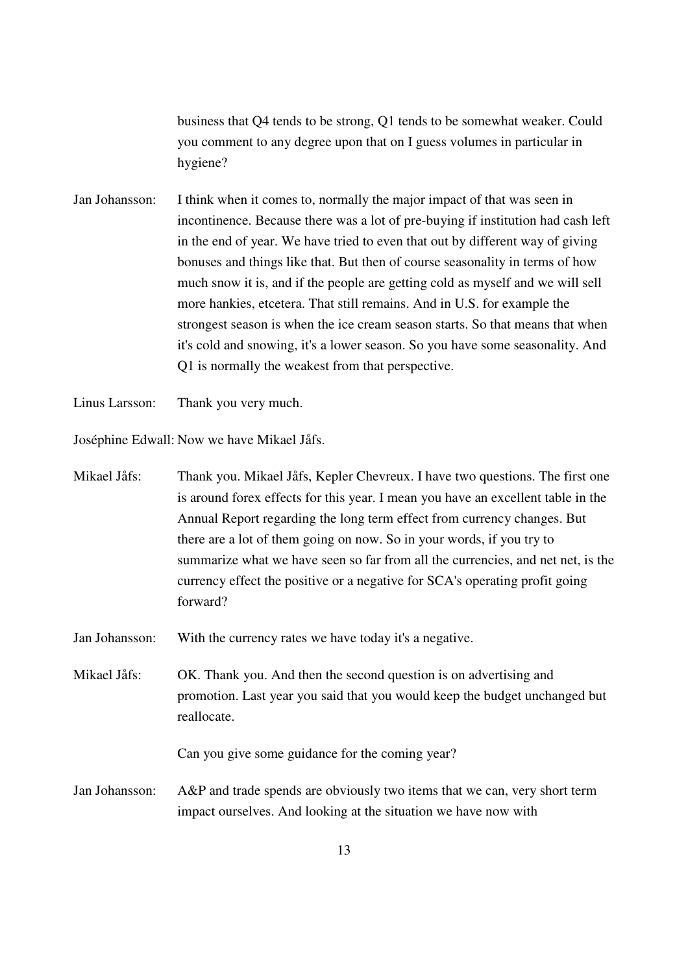business that Q4 tends to be strong, Q1 tends to be somewhat weaker. Could you comment to any degree upon that on I guess volumes in particular in hygiene?

- Jan Johansson: I think when it comes to, normally the major impact of that was seen in incontinence. Because there was a lot of pre-buying if institution had cash left in the end of year. We have tried to even that out by different way of giving bonuses and things like that. But then of course seasonality in terms of how much snow it is, and if the people are getting cold as myself and we will sell more hankies, etcetera. That still remains. And in U.S. for example the strongest season is when the ice cream season starts. So that means that when it's cold and snowing, it's a lower season. So you have some seasonality. And Q1 is normally the weakest from that perspective.
- Linus Larsson: Thank you very much.

Joséphine Edwall: Now we have Mikael Jåfs.

- Mikael Jåfs: Thank you. Mikael Jåfs, Kepler Chevreux. I have two questions. The first one is around forex effects for this year. I mean you have an excellent table in the Annual Report regarding the long term effect from currency changes. But there are a lot of them going on now. So in your words, if you try to summarize what we have seen so far from all the currencies, and net net, is the currency effect the positive or a negative for SCA's operating profit going forward?
- Jan Johansson: With the currency rates we have today it's a negative.
- Mikael Jåfs: OK. Thank you. And then the second question is on advertising and promotion. Last year you said that you would keep the budget unchanged but reallocate.

Can you give some guidance for the coming year?

Jan Johansson: A&P and trade spends are obviously two items that we can, very short term impact ourselves. And looking at the situation we have now with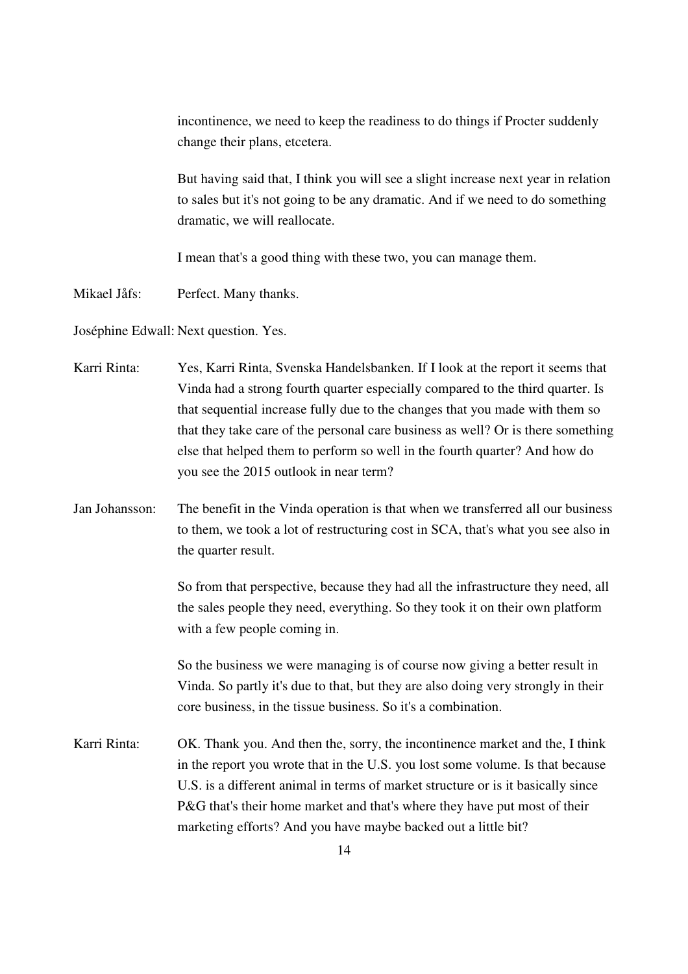incontinence, we need to keep the readiness to do things if Procter suddenly change their plans, etcetera.

 But having said that, I think you will see a slight increase next year in relation to sales but it's not going to be any dramatic. And if we need to do something dramatic, we will reallocate.

I mean that's a good thing with these two, you can manage them.

Mikael Jåfs: Perfect. Many thanks.

Joséphine Edwall: Next question. Yes.

| Karri Rinta:   | Yes, Karri Rinta, Svenska Handelsbanken. If I look at the report it seems that    |
|----------------|-----------------------------------------------------------------------------------|
|                | Vinda had a strong fourth quarter especially compared to the third quarter. Is    |
|                | that sequential increase fully due to the changes that you made with them so      |
|                | that they take care of the personal care business as well? Or is there something  |
|                | else that helped them to perform so well in the fourth quarter? And how do        |
|                | you see the 2015 outlook in near term?                                            |
| Jan Johansson: | The benefit in the Vinda operation is that when we transferred all our business   |
|                | to them, we took a lot of restructuring cost in SCA, that's what you see also in  |
|                | the quarter result.                                                               |
|                | So from that perspective, because they had all the infrastructure they need, all  |
|                | the sales people they need, everything. So they took it on their own platform     |
|                | with a few people coming in.                                                      |
|                | So the business we were managing is of course now giving a better result in       |
|                | Vinda. So partly it's due to that, but they are also doing very strongly in their |
|                | core business, in the tissue business. So it's a combination.                     |
| Karri Rinta:   | OK. Thank you. And then the, sorry, the incontinence market and the, I think      |
|                | in the report you wrote that in the U.S. you lost some volume. Is that because    |
|                | U.S. is a different animal in terms of market structure or is it basically since  |
|                | P&G that's their home market and that's where they have put most of their         |
|                | marketing efforts? And you have maybe backed out a little bit?                    |
|                | -14                                                                               |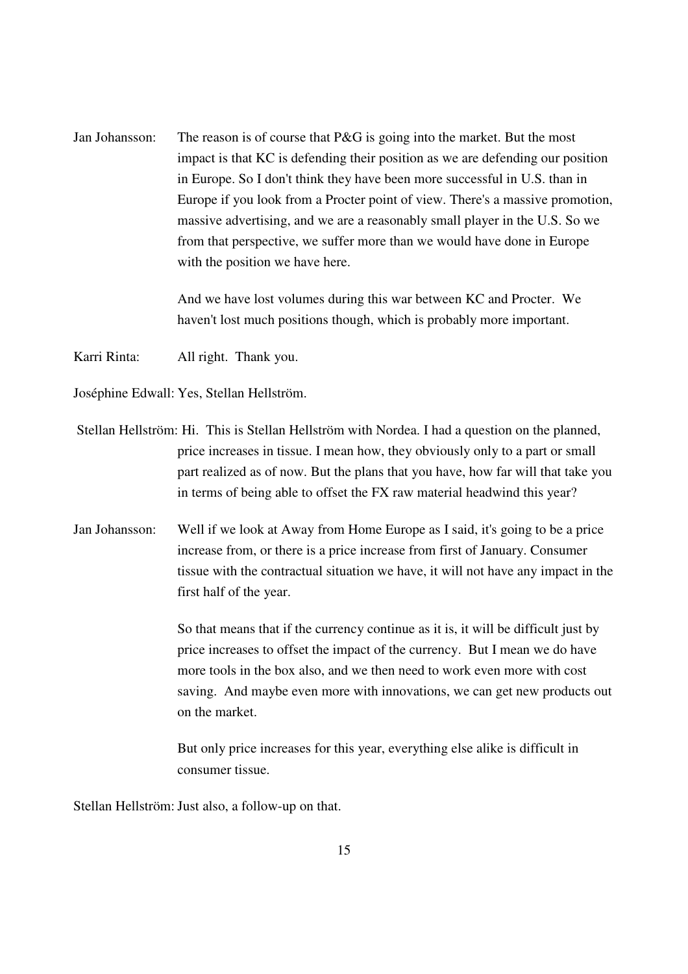Jan Johansson: The reason is of course that P&G is going into the market. But the most impact is that KC is defending their position as we are defending our position in Europe. So I don't think they have been more successful in U.S. than in Europe if you look from a Procter point of view. There's a massive promotion, massive advertising, and we are a reasonably small player in the U.S. So we from that perspective, we suffer more than we would have done in Europe with the position we have here.

> And we have lost volumes during this war between KC and Procter. We haven't lost much positions though, which is probably more important.

Karri Rinta: All right. Thank you.

Joséphine Edwall: Yes, Stellan Hellström.

- Stellan Hellström: Hi. This is Stellan Hellström with Nordea. I had a question on the planned, price increases in tissue. I mean how, they obviously only to a part or small part realized as of now. But the plans that you have, how far will that take you in terms of being able to offset the FX raw material headwind this year?
- Jan Johansson: Well if we look at Away from Home Europe as I said, it's going to be a price increase from, or there is a price increase from first of January. Consumer tissue with the contractual situation we have, it will not have any impact in the first half of the year.

 So that means that if the currency continue as it is, it will be difficult just by price increases to offset the impact of the currency. But I mean we do have more tools in the box also, and we then need to work even more with cost saving. And maybe even more with innovations, we can get new products out on the market.

 But only price increases for this year, everything else alike is difficult in consumer tissue.

Stellan Hellström: Just also, a follow-up on that.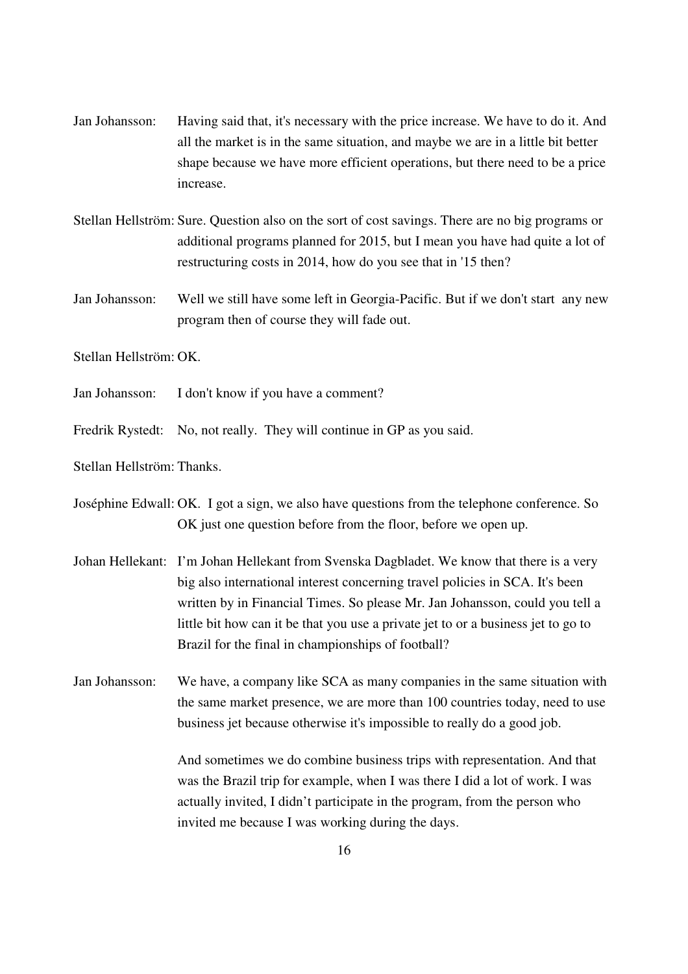- Jan Johansson: Having said that, it's necessary with the price increase. We have to do it. And all the market is in the same situation, and maybe we are in a little bit better shape because we have more efficient operations, but there need to be a price increase.
- Stellan Hellström: Sure. Question also on the sort of cost savings. There are no big programs or additional programs planned for 2015, but I mean you have had quite a lot of restructuring costs in 2014, how do you see that in '15 then?
- Jan Johansson: Well we still have some left in Georgia-Pacific. But if we don't start any new program then of course they will fade out.

Stellan Hellström: OK.

- Jan Johansson: I don't know if you have a comment?
- Fredrik Rystedt: No, not really. They will continue in GP as you said.

Stellan Hellström: Thanks.

Joséphine Edwall: OK. I got a sign, we also have questions from the telephone conference. So OK just one question before from the floor, before we open up.

- Johan Hellekant: I'm Johan Hellekant from Svenska Dagbladet. We know that there is a very big also international interest concerning travel policies in SCA. It's been written by in Financial Times. So please Mr. Jan Johansson, could you tell a little bit how can it be that you use a private jet to or a business jet to go to Brazil for the final in championships of football?
- Jan Johansson: We have, a company like SCA as many companies in the same situation with the same market presence, we are more than 100 countries today, need to use business jet because otherwise it's impossible to really do a good job.

 And sometimes we do combine business trips with representation. And that was the Brazil trip for example, when I was there I did a lot of work. I was actually invited, I didn't participate in the program, from the person who invited me because I was working during the days.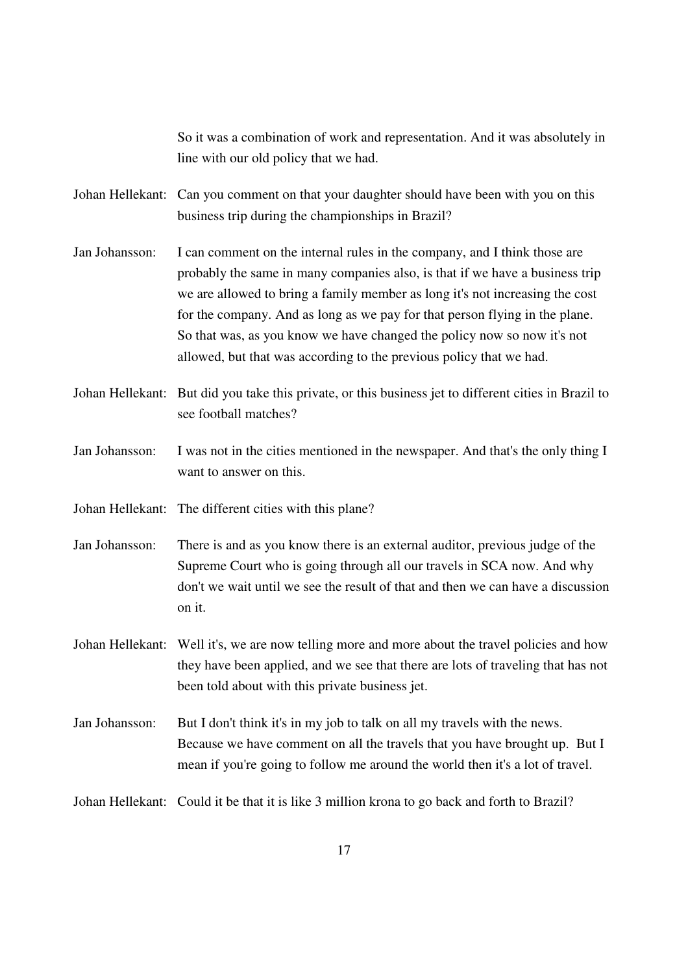So it was a combination of work and representation. And it was absolutely in line with our old policy that we had.

Johan Hellekant: Can you comment on that your daughter should have been with you on this business trip during the championships in Brazil?

- Jan Johansson: I can comment on the internal rules in the company, and I think those are probably the same in many companies also, is that if we have a business trip we are allowed to bring a family member as long it's not increasing the cost for the company. And as long as we pay for that person flying in the plane. So that was, as you know we have changed the policy now so now it's not allowed, but that was according to the previous policy that we had.
- Johan Hellekant: But did you take this private, or this business jet to different cities in Brazil to see football matches?
- Jan Johansson: I was not in the cities mentioned in the newspaper. And that's the only thing I want to answer on this.

Johan Hellekant: The different cities with this plane?

- Jan Johansson: There is and as you know there is an external auditor, previous judge of the Supreme Court who is going through all our travels in SCA now. And why don't we wait until we see the result of that and then we can have a discussion on it.
- Johan Hellekant: Well it's, we are now telling more and more about the travel policies and how they have been applied, and we see that there are lots of traveling that has not been told about with this private business jet.
- Jan Johansson: But I don't think it's in my job to talk on all my travels with the news. Because we have comment on all the travels that you have brought up. But I mean if you're going to follow me around the world then it's a lot of travel.

Johan Hellekant: Could it be that it is like 3 million krona to go back and forth to Brazil?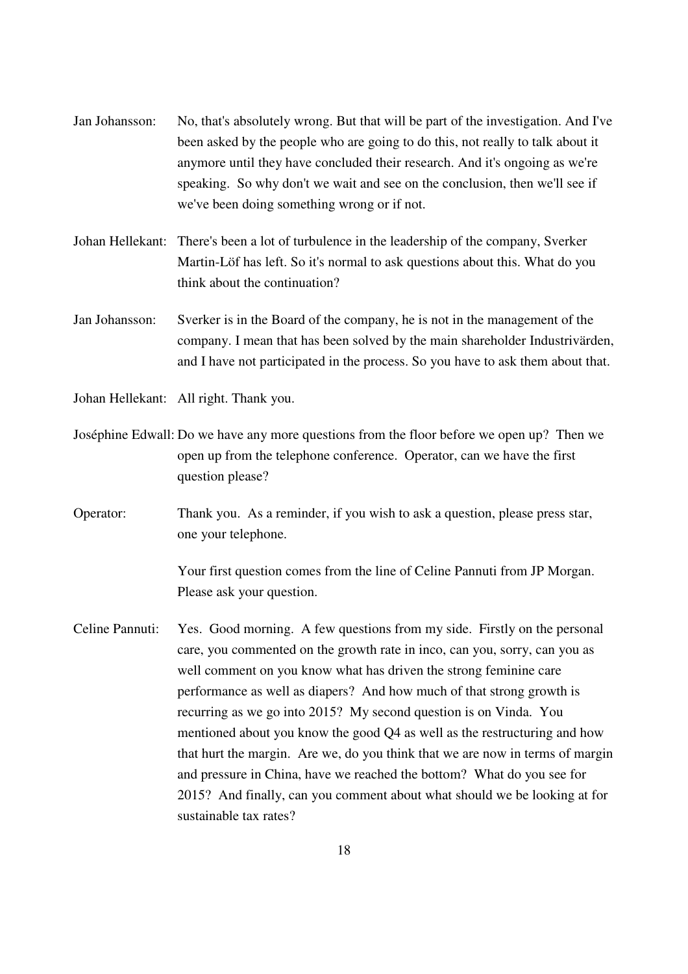- Jan Johansson: No, that's absolutely wrong. But that will be part of the investigation. And I've been asked by the people who are going to do this, not really to talk about it anymore until they have concluded their research. And it's ongoing as we're speaking. So why don't we wait and see on the conclusion, then we'll see if we've been doing something wrong or if not.
- Johan Hellekant: There's been a lot of turbulence in the leadership of the company, Sverker Martin-Löf has left. So it's normal to ask questions about this. What do you think about the continuation?
- Jan Johansson: Sverker is in the Board of the company, he is not in the management of the company. I mean that has been solved by the main shareholder Industrivärden, and I have not participated in the process. So you have to ask them about that.
- Johan Hellekant: All right. Thank you.
- Joséphine Edwall: Do we have any more questions from the floor before we open up? Then we open up from the telephone conference. Operator, can we have the first question please?
- Operator: Thank you. As a reminder, if you wish to ask a question, please press star, one your telephone.

 Your first question comes from the line of Celine Pannuti from JP Morgan. Please ask your question.

Celine Pannuti: Yes. Good morning. A few questions from my side. Firstly on the personal care, you commented on the growth rate in inco, can you, sorry, can you as well comment on you know what has driven the strong feminine care performance as well as diapers? And how much of that strong growth is recurring as we go into 2015? My second question is on Vinda. You mentioned about you know the good Q4 as well as the restructuring and how that hurt the margin. Are we, do you think that we are now in terms of margin and pressure in China, have we reached the bottom? What do you see for 2015? And finally, can you comment about what should we be looking at for sustainable tax rates?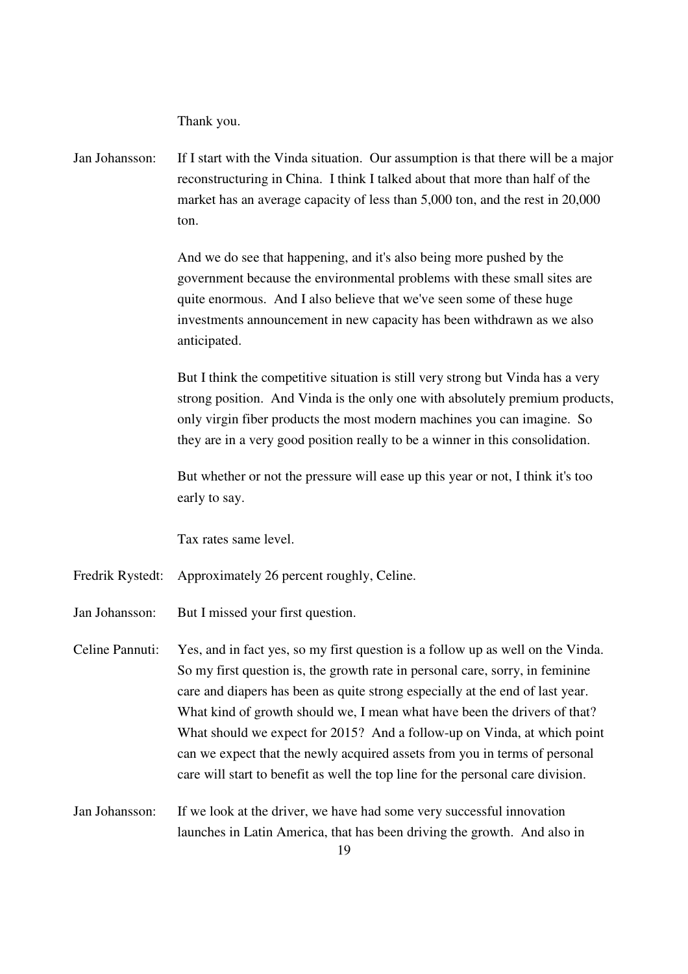Thank you.

Jan Johansson: If I start with the Vinda situation. Our assumption is that there will be a major reconstructuring in China. I think I talked about that more than half of the market has an average capacity of less than 5,000 ton, and the rest in 20,000 ton.

> And we do see that happening, and it's also being more pushed by the government because the environmental problems with these small sites are quite enormous. And I also believe that we've seen some of these huge investments announcement in new capacity has been withdrawn as we also anticipated.

 But I think the competitive situation is still very strong but Vinda has a very strong position. And Vinda is the only one with absolutely premium products, only virgin fiber products the most modern machines you can imagine. So they are in a very good position really to be a winner in this consolidation.

 But whether or not the pressure will ease up this year or not, I think it's too early to say.

Tax rates same level.

- Fredrik Rystedt: Approximately 26 percent roughly, Celine.
- Jan Johansson: But I missed your first question.
- Celine Pannuti: Yes, and in fact yes, so my first question is a follow up as well on the Vinda. So my first question is, the growth rate in personal care, sorry, in feminine care and diapers has been as quite strong especially at the end of last year. What kind of growth should we, I mean what have been the drivers of that? What should we expect for 2015? And a follow-up on Vinda, at which point can we expect that the newly acquired assets from you in terms of personal care will start to benefit as well the top line for the personal care division.
- Jan Johansson: If we look at the driver, we have had some very successful innovation launches in Latin America, that has been driving the growth. And also in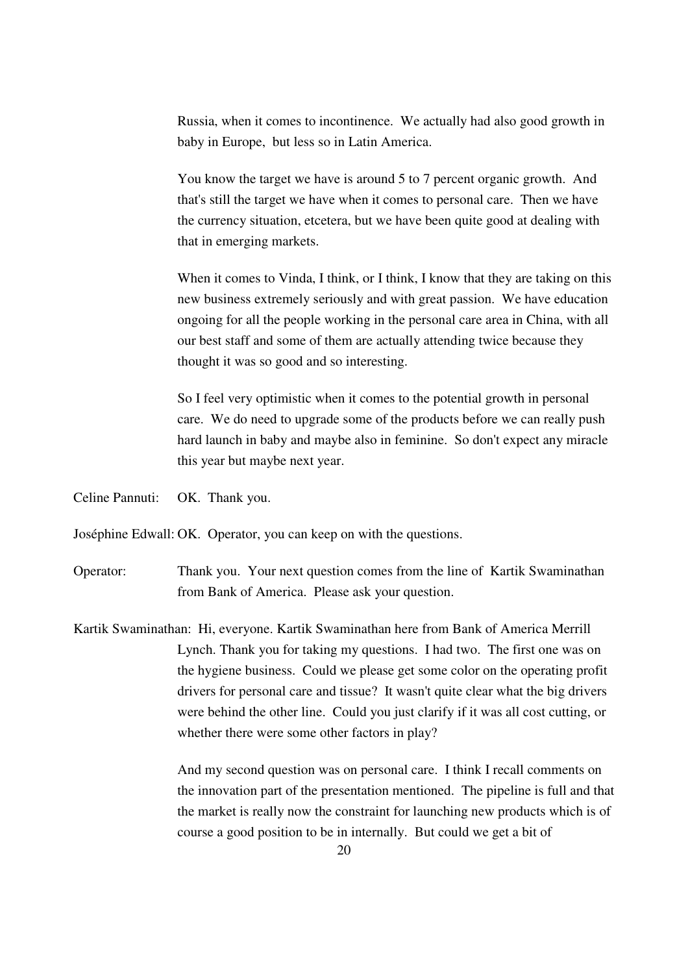Russia, when it comes to incontinence. We actually had also good growth in baby in Europe, but less so in Latin America.

 You know the target we have is around 5 to 7 percent organic growth. And that's still the target we have when it comes to personal care. Then we have the currency situation, etcetera, but we have been quite good at dealing with that in emerging markets.

When it comes to Vinda, I think, or I think, I know that they are taking on this new business extremely seriously and with great passion. We have education ongoing for all the people working in the personal care area in China, with all our best staff and some of them are actually attending twice because they thought it was so good and so interesting.

 So I feel very optimistic when it comes to the potential growth in personal care. We do need to upgrade some of the products before we can really push hard launch in baby and maybe also in feminine. So don't expect any miracle this year but maybe next year.

Celine Pannuti: OK. Thank you.

Joséphine Edwall: OK. Operator, you can keep on with the questions.

Operator: Thank you. Your next question comes from the line of Kartik Swaminathan from Bank of America. Please ask your question.

Kartik Swaminathan: Hi, everyone. Kartik Swaminathan here from Bank of America Merrill Lynch. Thank you for taking my questions. I had two. The first one was on the hygiene business. Could we please get some color on the operating profit drivers for personal care and tissue? It wasn't quite clear what the big drivers were behind the other line. Could you just clarify if it was all cost cutting, or whether there were some other factors in play?

> And my second question was on personal care. I think I recall comments on the innovation part of the presentation mentioned. The pipeline is full and that the market is really now the constraint for launching new products which is of course a good position to be in internally. But could we get a bit of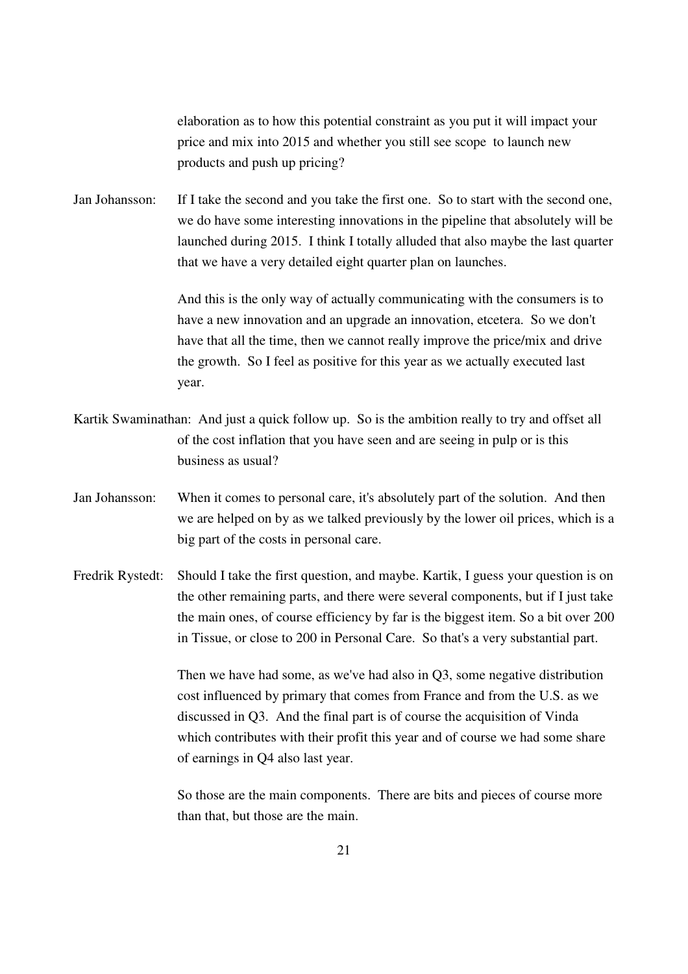elaboration as to how this potential constraint as you put it will impact your price and mix into 2015 and whether you still see scope to launch new products and push up pricing?

Jan Johansson: If I take the second and you take the first one. So to start with the second one, we do have some interesting innovations in the pipeline that absolutely will be launched during 2015. I think I totally alluded that also maybe the last quarter that we have a very detailed eight quarter plan on launches.

> And this is the only way of actually communicating with the consumers is to have a new innovation and an upgrade an innovation, etcetera. So we don't have that all the time, then we cannot really improve the price/mix and drive the growth. So I feel as positive for this year as we actually executed last year.

- Kartik Swaminathan: And just a quick follow up. So is the ambition really to try and offset all of the cost inflation that you have seen and are seeing in pulp or is this business as usual?
- Jan Johansson: When it comes to personal care, it's absolutely part of the solution. And then we are helped on by as we talked previously by the lower oil prices, which is a big part of the costs in personal care.
- Fredrik Rystedt: Should I take the first question, and maybe. Kartik, I guess your question is on the other remaining parts, and there were several components, but if I just take the main ones, of course efficiency by far is the biggest item. So a bit over 200 in Tissue, or close to 200 in Personal Care. So that's a very substantial part.

 Then we have had some, as we've had also in Q3, some negative distribution cost influenced by primary that comes from France and from the U.S. as we discussed in Q3. And the final part is of course the acquisition of Vinda which contributes with their profit this year and of course we had some share of earnings in Q4 also last year.

 So those are the main components. There are bits and pieces of course more than that, but those are the main.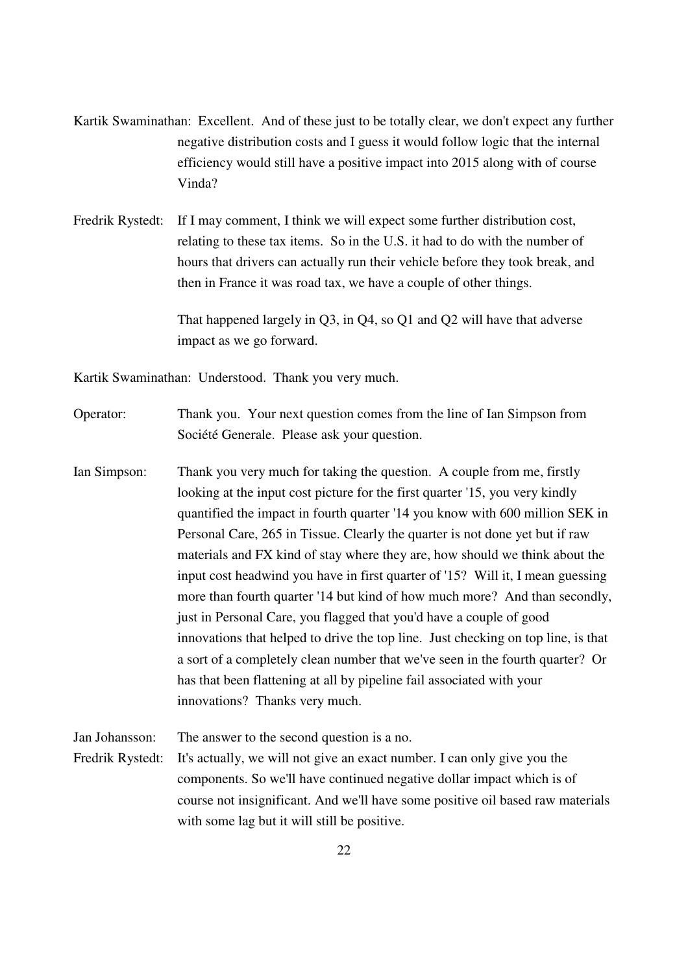Kartik Swaminathan: Excellent. And of these just to be totally clear, we don't expect any further negative distribution costs and I guess it would follow logic that the internal efficiency would still have a positive impact into 2015 along with of course Vinda?

Fredrik Rystedt: If I may comment, I think we will expect some further distribution cost, relating to these tax items. So in the U.S. it had to do with the number of hours that drivers can actually run their vehicle before they took break, and then in France it was road tax, we have a couple of other things.

> That happened largely in Q3, in Q4, so Q1 and Q2 will have that adverse impact as we go forward.

Kartik Swaminathan: Understood. Thank you very much.

Operator: Thank you. Your next question comes from the line of Ian Simpson from Société Generale. Please ask your question.

Ian Simpson: Thank you very much for taking the question. A couple from me, firstly looking at the input cost picture for the first quarter '15, you very kindly quantified the impact in fourth quarter '14 you know with 600 million SEK in Personal Care, 265 in Tissue. Clearly the quarter is not done yet but if raw materials and FX kind of stay where they are, how should we think about the input cost headwind you have in first quarter of '15? Will it, I mean guessing more than fourth quarter '14 but kind of how much more? And than secondly, just in Personal Care, you flagged that you'd have a couple of good innovations that helped to drive the top line. Just checking on top line, is that a sort of a completely clean number that we've seen in the fourth quarter? Or has that been flattening at all by pipeline fail associated with your innovations? Thanks very much.

Jan Johansson: The answer to the second question is a no.

Fredrik Rystedt: It's actually, we will not give an exact number. I can only give you the components. So we'll have continued negative dollar impact which is of course not insignificant. And we'll have some positive oil based raw materials with some lag but it will still be positive.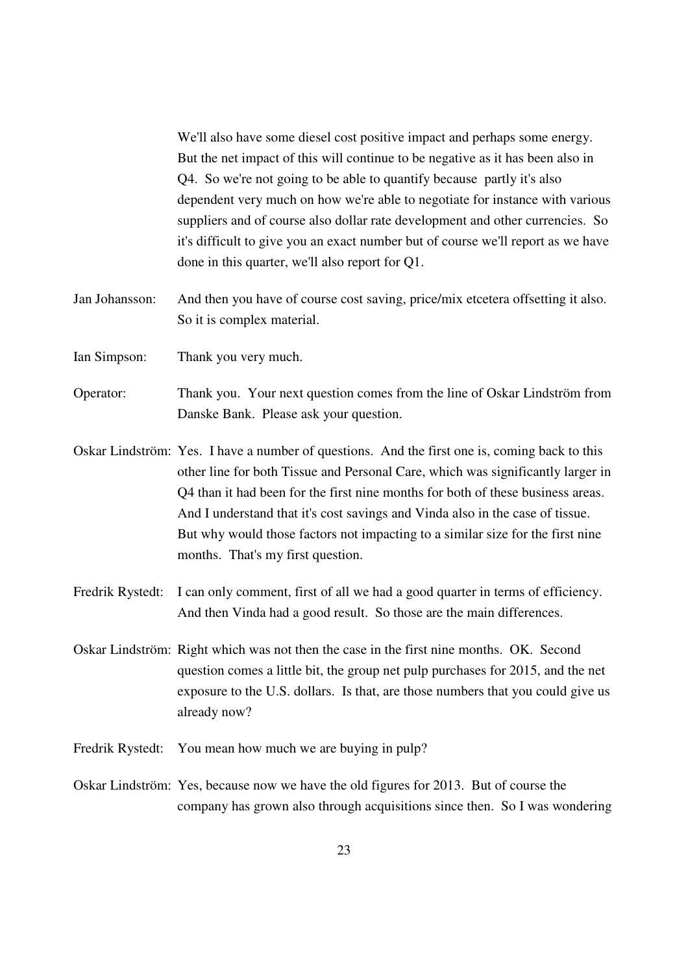We'll also have some diesel cost positive impact and perhaps some energy. But the net impact of this will continue to be negative as it has been also in Q4. So we're not going to be able to quantify because partly it's also dependent very much on how we're able to negotiate for instance with various suppliers and of course also dollar rate development and other currencies. So it's difficult to give you an exact number but of course we'll report as we have done in this quarter, we'll also report for Q1.

- Jan Johansson: And then you have of course cost saving, price/mix etcetera offsetting it also. So it is complex material.
- Ian Simpson: Thank you very much.
- Operator: Thank you. Your next question comes from the line of Oskar Lindström from Danske Bank. Please ask your question.
- Oskar Lindström: Yes. I have a number of questions. And the first one is, coming back to this other line for both Tissue and Personal Care, which was significantly larger in Q4 than it had been for the first nine months for both of these business areas. And I understand that it's cost savings and Vinda also in the case of tissue. But why would those factors not impacting to a similar size for the first nine months. That's my first question.
- Fredrik Rystedt: I can only comment, first of all we had a good quarter in terms of efficiency. And then Vinda had a good result. So those are the main differences.
- Oskar Lindström: Right which was not then the case in the first nine months. OK. Second question comes a little bit, the group net pulp purchases for 2015, and the net exposure to the U.S. dollars. Is that, are those numbers that you could give us already now?
- Fredrik Rystedt: You mean how much we are buying in pulp?
- Oskar Lindström: Yes, because now we have the old figures for 2013. But of course the company has grown also through acquisitions since then. So I was wondering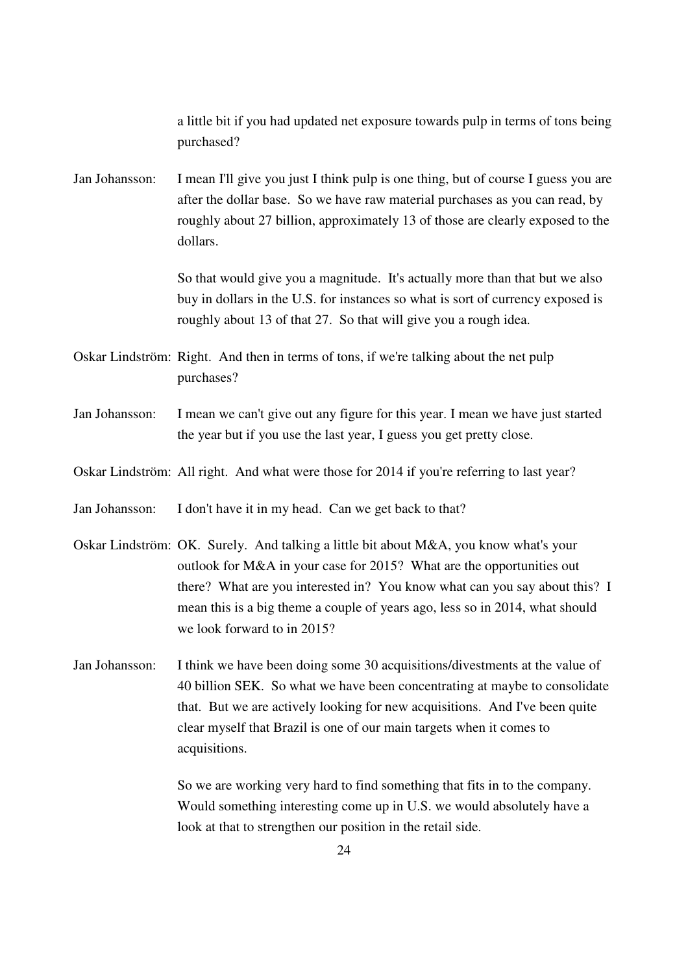a little bit if you had updated net exposure towards pulp in terms of tons being purchased? Jan Johansson: I mean I'll give you just I think pulp is one thing, but of course I guess you are after the dollar base. So we have raw material purchases as you can read, by roughly about 27 billion, approximately 13 of those are clearly exposed to the dollars. So that would give you a magnitude. It's actually more than that but we also buy in dollars in the U.S. for instances so what is sort of currency exposed is roughly about 13 of that 27. So that will give you a rough idea. Oskar Lindström: Right. And then in terms of tons, if we're talking about the net pulp purchases? Jan Johansson: I mean we can't give out any figure for this year. I mean we have just started the year but if you use the last year, I guess you get pretty close. Oskar Lindström: All right. And what were those for 2014 if you're referring to last year? Jan Johansson: I don't have it in my head. Can we get back to that? Oskar Lindström: OK. Surely. And talking a little bit about M&A, you know what's your outlook for M&A in your case for 2015? What are the opportunities out there? What are you interested in? You know what can you say about this? I mean this is a big theme a couple of years ago, less so in 2014, what should we look forward to in 2015? Jan Johansson: I think we have been doing some 30 acquisitions/divestments at the value of 40 billion SEK. So what we have been concentrating at maybe to consolidate that. But we are actively looking for new acquisitions. And I've been quite clear myself that Brazil is one of our main targets when it comes to acquisitions. So we are working very hard to find something that fits in to the company. Would something interesting come up in U.S. we would absolutely have a look at that to strengthen our position in the retail side.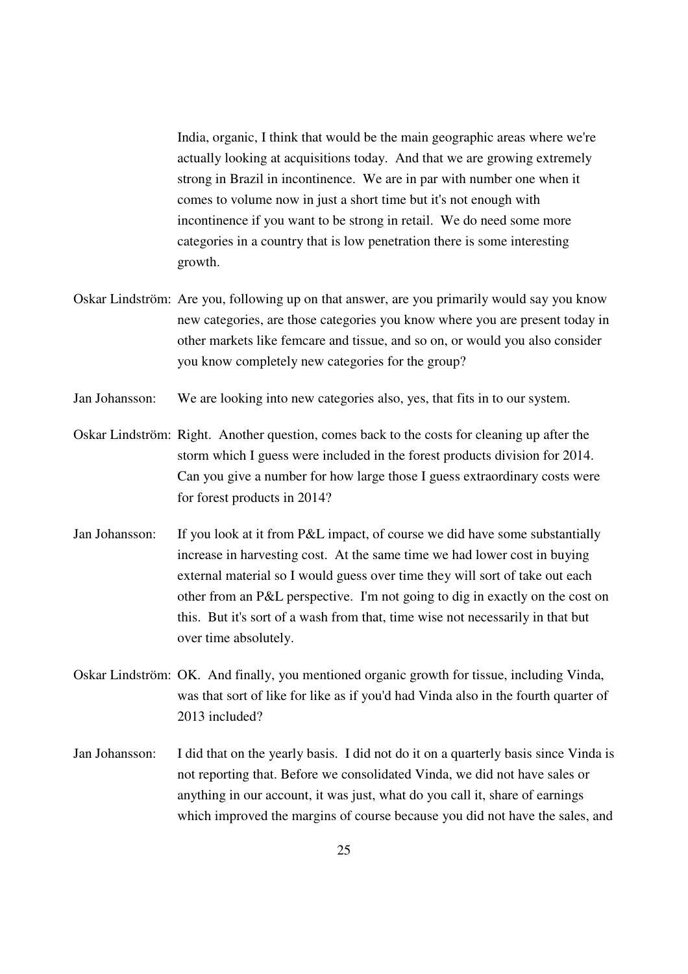India, organic, I think that would be the main geographic areas where we're actually looking at acquisitions today. And that we are growing extremely strong in Brazil in incontinence. We are in par with number one when it comes to volume now in just a short time but it's not enough with incontinence if you want to be strong in retail. We do need some more categories in a country that is low penetration there is some interesting growth.

- Oskar Lindström: Are you, following up on that answer, are you primarily would say you know new categories, are those categories you know where you are present today in other markets like femcare and tissue, and so on, or would you also consider you know completely new categories for the group?
- Jan Johansson: We are looking into new categories also, yes, that fits in to our system.
- Oskar Lindström: Right. Another question, comes back to the costs for cleaning up after the storm which I guess were included in the forest products division for 2014. Can you give a number for how large those I guess extraordinary costs were for forest products in 2014?
- Jan Johansson: If you look at it from P&L impact, of course we did have some substantially increase in harvesting cost. At the same time we had lower cost in buying external material so I would guess over time they will sort of take out each other from an P&L perspective. I'm not going to dig in exactly on the cost on this. But it's sort of a wash from that, time wise not necessarily in that but over time absolutely.
- Oskar Lindström: OK. And finally, you mentioned organic growth for tissue, including Vinda, was that sort of like for like as if you'd had Vinda also in the fourth quarter of 2013 included?
- Jan Johansson: I did that on the yearly basis. I did not do it on a quarterly basis since Vinda is not reporting that. Before we consolidated Vinda, we did not have sales or anything in our account, it was just, what do you call it, share of earnings which improved the margins of course because you did not have the sales, and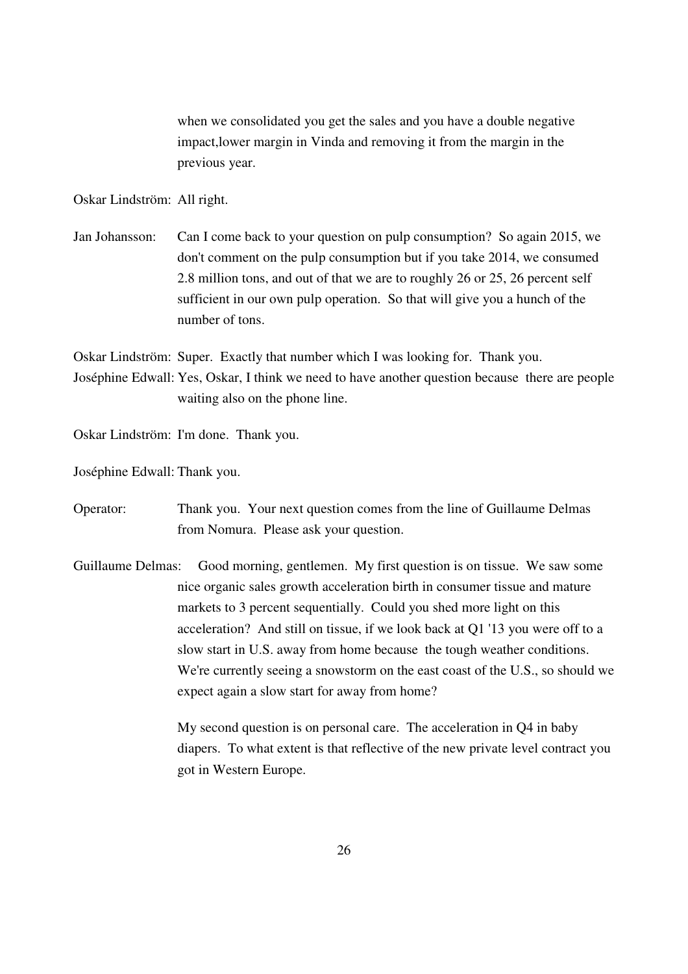when we consolidated you get the sales and you have a double negative impact,lower margin in Vinda and removing it from the margin in the previous year.

Oskar Lindström: All right.

Jan Johansson: Can I come back to your question on pulp consumption? So again 2015, we don't comment on the pulp consumption but if you take 2014, we consumed 2.8 million tons, and out of that we are to roughly 26 or 25, 26 percent self sufficient in our own pulp operation. So that will give you a hunch of the number of tons.

Oskar Lindström: Super. Exactly that number which I was looking for. Thank you. Joséphine Edwall: Yes, Oskar, I think we need to have another question because there are people waiting also on the phone line.

Oskar Lindström: I'm done. Thank you.

Joséphine Edwall: Thank you.

Operator: Thank you. Your next question comes from the line of Guillaume Delmas from Nomura. Please ask your question.

Guillaume Delmas: Good morning, gentlemen. My first question is on tissue. We saw some nice organic sales growth acceleration birth in consumer tissue and mature markets to 3 percent sequentially. Could you shed more light on this acceleration? And still on tissue, if we look back at Q1 '13 you were off to a slow start in U.S. away from home because the tough weather conditions. We're currently seeing a snowstorm on the east coast of the U.S., so should we expect again a slow start for away from home?

> My second question is on personal care. The acceleration in Q4 in baby diapers. To what extent is that reflective of the new private level contract you got in Western Europe.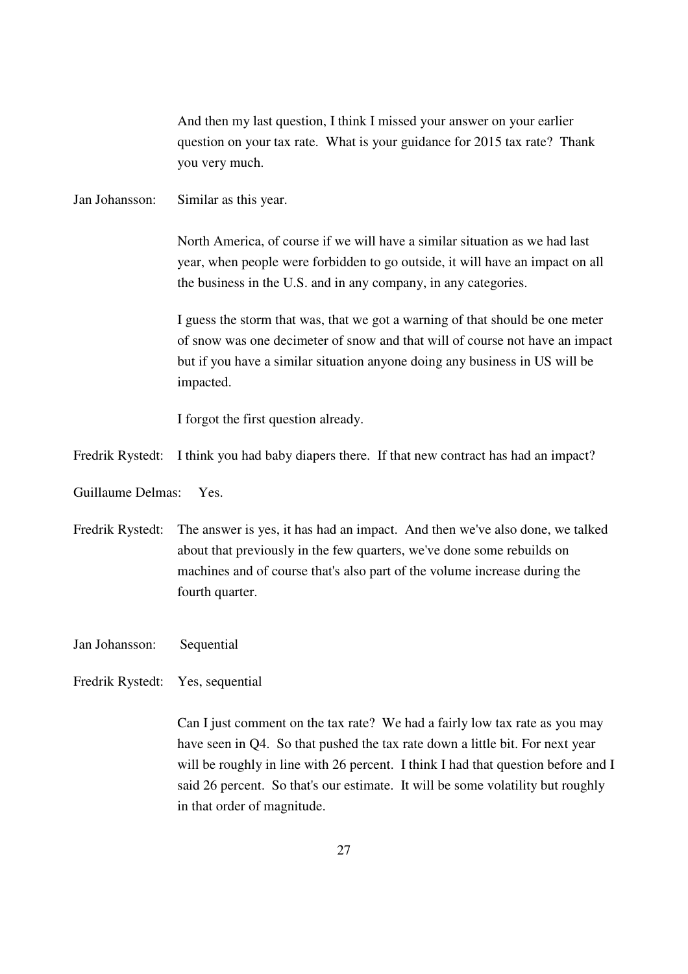And then my last question, I think I missed your answer on your earlier question on your tax rate. What is your guidance for 2015 tax rate? Thank you very much.

Jan Johansson: Similar as this year.

North America, of course if we will have a similar situation as we had last year, when people were forbidden to go outside, it will have an impact on all the business in the U.S. and in any company, in any categories.

 I guess the storm that was, that we got a warning of that should be one meter of snow was one decimeter of snow and that will of course not have an impact but if you have a similar situation anyone doing any business in US will be impacted.

I forgot the first question already.

Fredrik Rystedt: I think you had baby diapers there. If that new contract has had an impact?

Guillaume Delmas: Yes.

- Fredrik Rystedt: The answer is yes, it has had an impact. And then we've also done, we talked about that previously in the few quarters, we've done some rebuilds on machines and of course that's also part of the volume increase during the fourth quarter.
- Jan Johansson: Sequential
- Fredrik Rystedt: Yes, sequential

Can I just comment on the tax rate? We had a fairly low tax rate as you may have seen in Q4. So that pushed the tax rate down a little bit. For next year will be roughly in line with 26 percent. I think I had that question before and I said 26 percent. So that's our estimate. It will be some volatility but roughly in that order of magnitude.